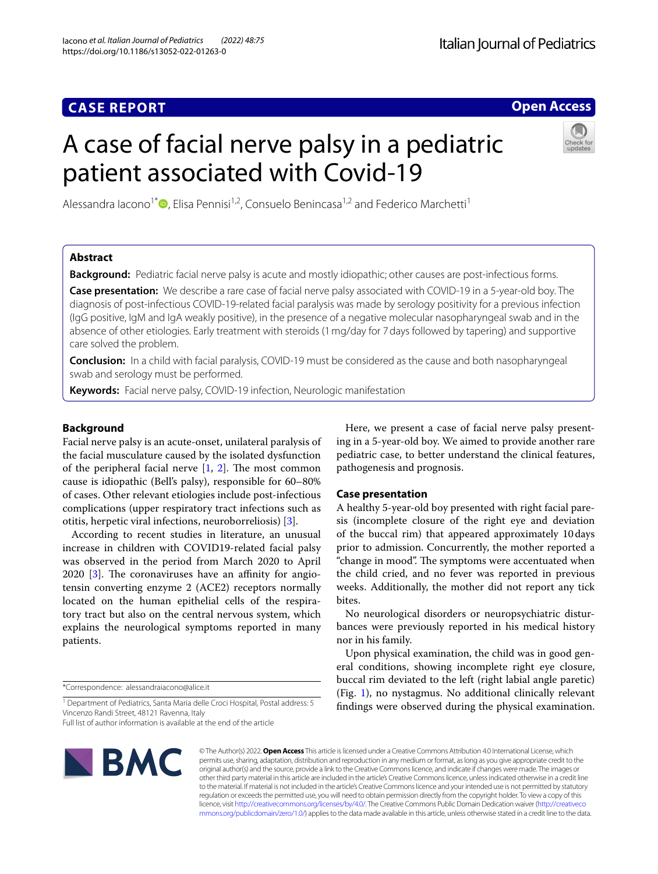# **Italian Journal of Pediatrics**

# **Open Access**

# A case of facial nerve palsy in a pediatric patient associated with Covid-19



Alessandra Iacono<sup>1[\\*](http://orcid.org/0000-0001-5766-608X)</sup>  $\bullet$ , Elisa Pennisi<sup>1,2</sup>, Consuelo Benincasa<sup>1,2</sup> and Federico Marchetti<sup>1</sup>

# **Abstract**

**Background:** Pediatric facial nerve palsy is acute and mostly idiopathic; other causes are post-infectious forms.

**Case presentation:** We describe a rare case of facial nerve palsy associated with COVID-19 in a 5-year-old boy. The diagnosis of post-infectious COVID-19-related facial paralysis was made by serology positivity for a previous infection (IgG positive, IgM and IgA weakly positive), in the presence of a negative molecular nasopharyngeal swab and in the absence of other etiologies. Early treatment with steroids (1mg/day for 7days followed by tapering) and supportive care solved the problem.

**Conclusion:** In a child with facial paralysis, COVID-19 must be considered as the cause and both nasopharyngeal swab and serology must be performed.

**Keywords:** Facial nerve palsy, COVID-19 infection, Neurologic manifestation

# **Background**

Facial nerve palsy is an acute-onset, unilateral paralysis of the facial musculature caused by the isolated dysfunction of the peripheral facial nerve  $[1, 2]$  $[1, 2]$  $[1, 2]$ . The most common cause is idiopathic (Bell's palsy), responsible for 60–80% of cases. Other relevant etiologies include post-infectious complications (upper respiratory tract infections such as otitis, herpetic viral infections, neuroborreliosis) [[3\]](#page-3-2).

According to recent studies in literature, an unusual increase in children with COVID19-related facial palsy was observed in the period from March 2020 to April  $2020$  [[3\]](#page-3-2). The coronaviruses have an affinity for angiotensin converting enzyme 2 (ACE2) receptors normally located on the human epithelial cells of the respiratory tract but also on the central nervous system, which explains the neurological symptoms reported in many patients.

\*Correspondence: alessandraiacono@alice.it

Full list of author information is available at the end of the article

**BMC** 

Here, we present a case of facial nerve palsy presenting in a 5-year-old boy. We aimed to provide another rare pediatric case, to better understand the clinical features, pathogenesis and prognosis.

# **Case presentation**

A healthy 5-year-old boy presented with right facial paresis (incomplete closure of the right eye and deviation of the buccal rim) that appeared approximately 10days prior to admission. Concurrently, the mother reported a "change in mood". The symptoms were accentuated when the child cried, and no fever was reported in previous weeks. Additionally, the mother did not report any tick bites.

No neurological disorders or neuropsychiatric disturbances were previously reported in his medical history nor in his family.

Upon physical examination, the child was in good general conditions, showing incomplete right eye closure, buccal rim deviated to the left (right labial angle paretic) (Fig. [1](#page-1-0)), no nystagmus. No additional clinically relevant fndings were observed during the physical examination.

© The Author(s) 2022. **Open Access** This article is licensed under a Creative Commons Attribution 4.0 International License, which permits use, sharing, adaptation, distribution and reproduction in any medium or format, as long as you give appropriate credit to the original author(s) and the source, provide a link to the Creative Commons licence, and indicate if changes were made. The images or other third party material in this article are included in the article's Creative Commons licence, unless indicated otherwise in a credit line to the material. If material is not included in the article's Creative Commons licence and your intended use is not permitted by statutory regulation or exceeds the permitted use, you will need to obtain permission directly from the copyright holder. To view a copy of this licence, visit [http://creativecommons.org/licenses/by/4.0/.](http://creativecommons.org/licenses/by/4.0/) The Creative Commons Public Domain Dedication waiver ([http://creativeco](http://creativecommons.org/publicdomain/zero/1.0/) [mmons.org/publicdomain/zero/1.0/](http://creativecommons.org/publicdomain/zero/1.0/)) applies to the data made available in this article, unless otherwise stated in a credit line to the data.

<sup>&</sup>lt;sup>1</sup> Department of Pediatrics, Santa Maria delle Croci Hospital, Postal address: 5 Vincenzo Randi Street, 48121 Ravenna, Italy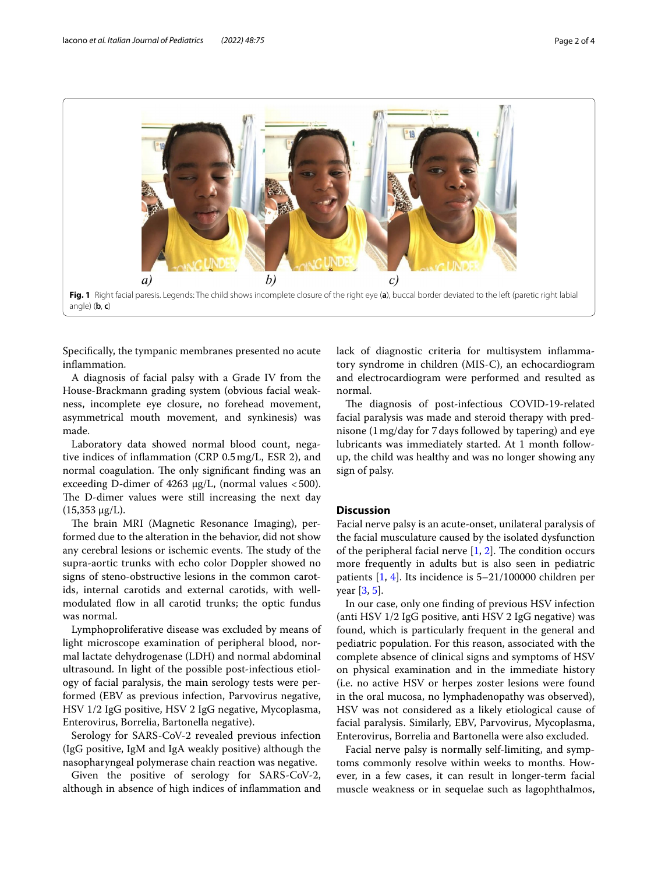

<span id="page-1-0"></span>Specifcally, the tympanic membranes presented no acute infammation.

A diagnosis of facial palsy with a Grade IV from the House-Brackmann grading system (obvious facial weakness, incomplete eye closure, no forehead movement, asymmetrical mouth movement, and synkinesis) was made.

Laboratory data showed normal blood count, negative indices of infammation (CRP 0.5mg/L, ESR 2), and normal coagulation. The only significant finding was an exceeding D-dimer of 4263 μg/L, (normal values  $<$  500). The D-dimer values were still increasing the next day (15,353 μg/L).

The brain MRI (Magnetic Resonance Imaging), performed due to the alteration in the behavior, did not show any cerebral lesions or ischemic events. The study of the supra-aortic trunks with echo color Doppler showed no signs of steno-obstructive lesions in the common carotids, internal carotids and external carotids, with wellmodulated fow in all carotid trunks; the optic fundus was normal.

Lymphoproliferative disease was excluded by means of light microscope examination of peripheral blood, normal lactate dehydrogenase (LDH) and normal abdominal ultrasound. In light of the possible post-infectious etiology of facial paralysis, the main serology tests were performed (EBV as previous infection, Parvovirus negative, HSV 1/2 IgG positive, HSV 2 IgG negative, Mycoplasma, Enterovirus, Borrelia, Bartonella negative).

Serology for SARS-CoV-2 revealed previous infection (IgG positive, IgM and IgA weakly positive) although the nasopharyngeal polymerase chain reaction was negative.

Given the positive of serology for SARS-CoV-2, although in absence of high indices of infammation and lack of diagnostic criteria for multisystem infammatory syndrome in children (MIS-C), an echocardiogram and electrocardiogram were performed and resulted as normal.

The diagnosis of post-infectious COVID-19-related facial paralysis was made and steroid therapy with prednisone (1mg/day for 7days followed by tapering) and eye lubricants was immediately started. At 1 month followup, the child was healthy and was no longer showing any sign of palsy.

## **Discussion**

Facial nerve palsy is an acute-onset, unilateral paralysis of the facial musculature caused by the isolated dysfunction of the peripheral facial nerve  $[1, 2]$  $[1, 2]$  $[1, 2]$  $[1, 2]$ . The condition occurs more frequently in adults but is also seen in pediatric patients [\[1](#page-3-0), [4](#page-3-3)]. Its incidence is 5–21/100000 children per year [\[3](#page-3-2), [5\]](#page-3-4).

In our case, only one fnding of previous HSV infection (anti HSV 1/2 IgG positive, anti HSV 2 IgG negative) was found, which is particularly frequent in the general and pediatric population. For this reason, associated with the complete absence of clinical signs and symptoms of HSV on physical examination and in the immediate history (i.e. no active HSV or herpes zoster lesions were found in the oral mucosa, no lymphadenopathy was observed), HSV was not considered as a likely etiological cause of facial paralysis. Similarly, EBV, Parvovirus, Mycoplasma, Enterovirus, Borrelia and Bartonella were also excluded.

Facial nerve palsy is normally self-limiting, and symptoms commonly resolve within weeks to months. However, in a few cases, it can result in longer-term facial muscle weakness or in sequelae such as lagophthalmos,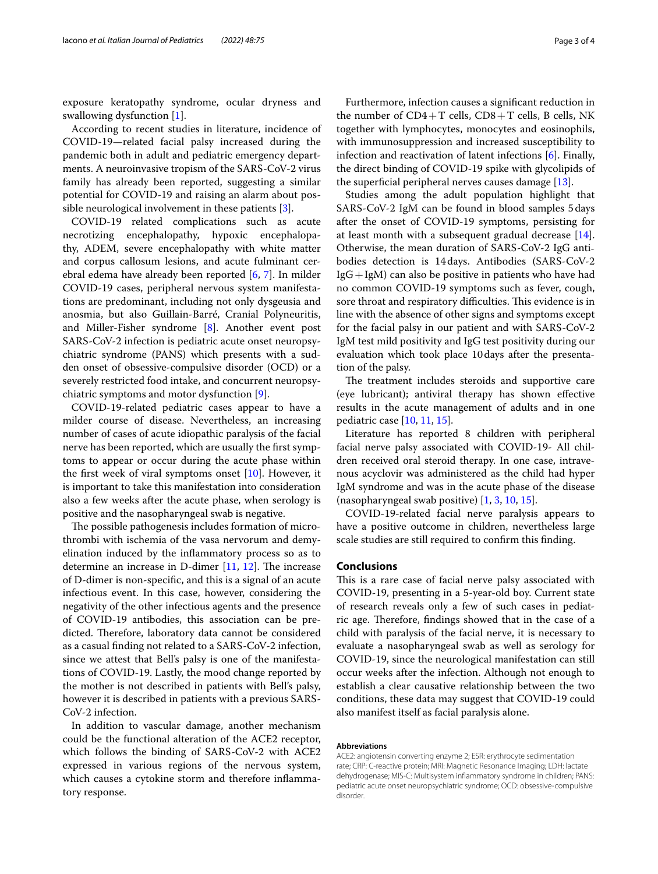exposure keratopathy syndrome, ocular dryness and swallowing dysfunction [\[1](#page-3-0)].

According to recent studies in literature, incidence of COVID-19—related facial palsy increased during the pandemic both in adult and pediatric emergency departments. A neuroinvasive tropism of the SARS-CoV-2 virus family has already been reported, suggesting a similar potential for COVID-19 and raising an alarm about possible neurological involvement in these patients [[3\]](#page-3-2).

COVID-19 related complications such as acute necrotizing encephalopathy, hypoxic encephalopathy, ADEM, severe encephalopathy with white matter and corpus callosum lesions, and acute fulminant cerebral edema have already been reported [[6](#page-3-5), [7\]](#page-3-6). In milder COVID-19 cases, peripheral nervous system manifestations are predominant, including not only dysgeusia and anosmia, but also Guillain-Barré, Cranial Polyneuritis, and Miller-Fisher syndrome [[8](#page-3-7)]. Another event post SARS-CoV-2 infection is pediatric acute onset neuropsychiatric syndrome (PANS) which presents with a sudden onset of obsessive-compulsive disorder (OCD) or a severely restricted food intake, and concurrent neuropsychiatric symptoms and motor dysfunction [[9\]](#page-3-8).

COVID-19-related pediatric cases appear to have a milder course of disease. Nevertheless, an increasing number of cases of acute idiopathic paralysis of the facial nerve has been reported, which are usually the frst symptoms to appear or occur during the acute phase within the frst week of viral symptoms onset [\[10](#page-3-9)]. However, it is important to take this manifestation into consideration also a few weeks after the acute phase, when serology is positive and the nasopharyngeal swab is negative.

The possible pathogenesis includes formation of microthrombi with ischemia of the vasa nervorum and demyelination induced by the infammatory process so as to determine an increase in D-dimer  $[11, 12]$  $[11, 12]$  $[11, 12]$  $[11, 12]$ . The increase of D-dimer is non-specifc, and this is a signal of an acute infectious event. In this case, however, considering the negativity of the other infectious agents and the presence of COVID-19 antibodies, this association can be predicted. Therefore, laboratory data cannot be considered as a casual fnding not related to a SARS-CoV-2 infection, since we attest that Bell's palsy is one of the manifestations of COVID-19. Lastly, the mood change reported by the mother is not described in patients with Bell's palsy, however it is described in patients with a previous SARS-CoV-2 infection.

In addition to vascular damage, another mechanism could be the functional alteration of the ACE2 receptor, which follows the binding of SARS-CoV-2 with ACE2 expressed in various regions of the nervous system, which causes a cytokine storm and therefore inflammatory response.

Furthermore, infection causes a signifcant reduction in the number of  $CD4+T$  cells,  $CD8+T$  cells, B cells, NK together with lymphocytes, monocytes and eosinophils, with immunosuppression and increased susceptibility to infection and reactivation of latent infections [[6\]](#page-3-5). Finally, the direct binding of COVID-19 spike with glycolipids of the superfcial peripheral nerves causes damage [\[13](#page-3-12)].

Studies among the adult population highlight that SARS-CoV-2 IgM can be found in blood samples 5days after the onset of COVID-19 symptoms, persisting for at least month with a subsequent gradual decrease [\[14](#page-3-13)]. Otherwise, the mean duration of SARS-CoV-2 IgG antibodies detection is 14days. Antibodies (SARS-CoV-2  $IgG+IgM$ ) can also be positive in patients who have had no common COVID-19 symptoms such as fever, cough, sore throat and respiratory difficulties. This evidence is in line with the absence of other signs and symptoms except for the facial palsy in our patient and with SARS-CoV-2 IgM test mild positivity and IgG test positivity during our evaluation which took place 10days after the presentation of the palsy.

The treatment includes steroids and supportive care (eye lubricant); antiviral therapy has shown efective results in the acute management of adults and in one pediatric case [\[10](#page-3-9), [11,](#page-3-10) [15\]](#page-3-14).

Literature has reported 8 children with peripheral facial nerve palsy associated with COVID-19- All children received oral steroid therapy. In one case, intravenous acyclovir was administered as the child had hyper IgM syndrome and was in the acute phase of the disease (nasopharyngeal swab positive) [\[1](#page-3-0), [3,](#page-3-2) [10,](#page-3-9) [15](#page-3-14)].

COVID-19-related facial nerve paralysis appears to have a positive outcome in children, nevertheless large scale studies are still required to confrm this fnding.

## **Conclusions**

This is a rare case of facial nerve palsy associated with COVID-19, presenting in a 5-year-old boy. Current state of research reveals only a few of such cases in pediatric age. Therefore, findings showed that in the case of a child with paralysis of the facial nerve, it is necessary to evaluate a nasopharyngeal swab as well as serology for COVID-19, since the neurological manifestation can still occur weeks after the infection. Although not enough to establish a clear causative relationship between the two conditions, these data may suggest that COVID-19 could also manifest itself as facial paralysis alone.

#### **Abbreviations**

ACE2: angiotensin converting enzyme 2; ESR: erythrocyte sedimentation rate; CRP: C-reactive protein; MRI: Magnetic Resonance Imaging; LDH: lactate dehydrogenase; MIS-C: Multisystem infammatory syndrome in children; PANS: pediatric acute onset neuropsychiatric syndrome; OCD: obsessive-compulsive disorder.